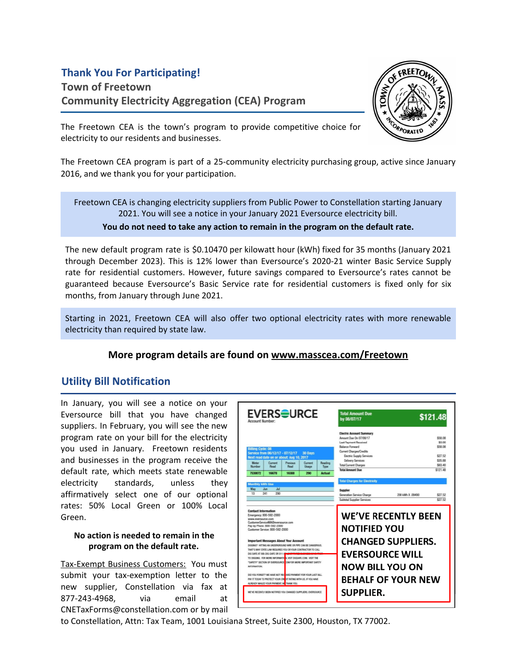# **Thank You For Participating!**

**Town of Freetown Community Electricity Aggregation (CEA) Program**



The Freetown CEA is the town's program to provide competitive choice for electricity to our residents and businesses.

The Freetown CEA program is part of a 25-community electricity purchasing group, active since January 2016, and we thank you for your participation.

Freetown CEA is changing electricity suppliers from Public Power to Constellation starting January 2021. You will see a notice in your January 2021 Eversource electricity bill. **You do not need to take any action to remain in the program on the default rate.**

The new default program rate is \$0.10470 per kilowatt hour (kWh) fixed for 35 months (January 2021 through December 2023). This is 12% lower than Eversource's 2020-21 winter Basic Service Supply rate for residential customers. However, future savings compared to Eversource's rates cannot be guaranteed because Eversource's Basic Service rate for residential customers is fixed only for six months, from January through June 2021.

Starting in 2021, Freetown CEA will also offer two optional electricity rates with more renewable electricity than required by state law.

### **More program details are found on www.masscea.com/Freetown**

### **Utility Bill Notification**

In January, you will see a notice on your Eversource bill that you have changed suppliers. In February, you will see the new program rate on your bill for the electricity you used in January. Freetown residents and businesses in the program receive the default rate, which meets state renewable electricity standards, unless they affirmatively select one of our optional rates: 50% Local Green or 100% Local Green.

#### **No action is needed to remain in the program on the default rate.**

Tax-Exempt Business Customers: You must submit your tax-exemption letter to the new supplier, Constellation via fax at 877-243-4968, via email at CNETaxForms@constellation.com or by mail



to Constellation, Attn: Tax Team, 1001 Louisiana Street, Suite 2300, Houston, TX 77002.